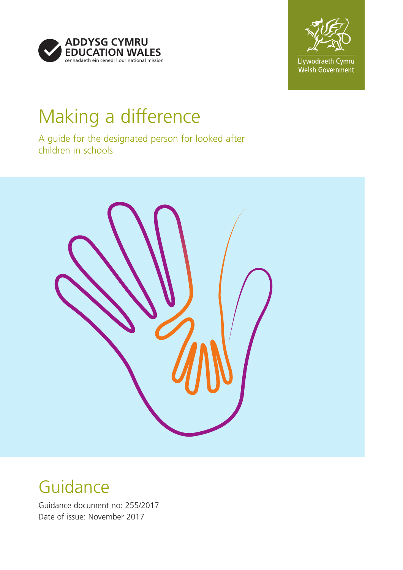



# Making a difference

A guide for the designated person for looked after children in schools



# Guidance

Guidance document no: 255/2017 Date of issue: November 2017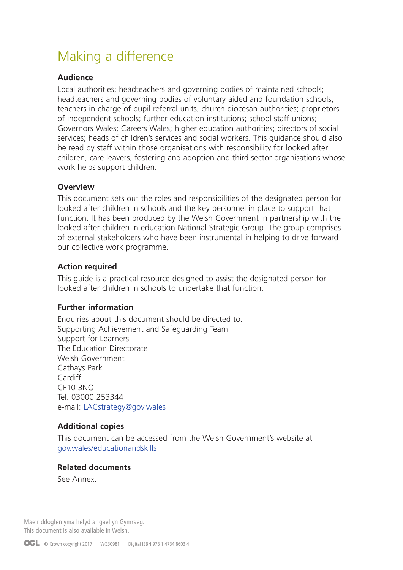# Making a difference

#### **Audience**

Local authorities; headteachers and governing bodies of maintained schools; headteachers and governing bodies of voluntary aided and foundation schools; teachers in charge of pupil referral units; church diocesan authorities; proprietors of independent schools; further education institutions; school staff unions; Governors Wales; Careers Wales; higher education authorities; directors of social services; heads of children's services and social workers. This guidance should also be read by staff within those organisations with responsibility for looked after children, care leavers, fostering and adoption and third sector organisations whose work helps support children.

#### **Overview**

This document sets out the roles and responsibilities of the designated person for looked after children in schools and the key personnel in place to support that function. It has been produced by the Welsh Government in partnership with the looked after children in education National Strategic Group. The group comprises of external stakeholders who have been instrumental in helping to drive forward our collective work programme.

## **Action required**

This guide is a practical resource designed to assist the designated person for looked after children in schools to undertake that function.

#### **Further information**

Enquiries about this document should be directed to: Supporting Achievement and Safeguarding Team Support for Learners The Education Directorate Welsh Government Cathays Park Cardiff CF10 3NQ Tel: 03000 253344 e-mail: LACstrategy@gov.wales

## **Additional copies**

This document can be accessed from the Welsh Government's website at [gov.wales/educationandskills](http://gov.wales/educationandskills)

#### **Related documents**

See Annex.

Mae'r ddogfen yma hefyd ar gael yn Gymraeg. This document is also available in Welsh.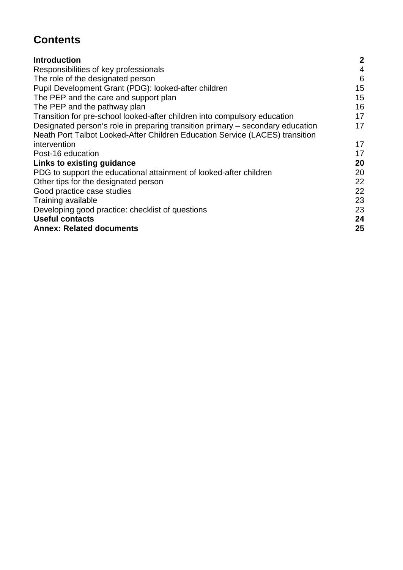# **Contents**

| <b>Introduction</b>                                                            | $\boldsymbol{2}$ |
|--------------------------------------------------------------------------------|------------------|
| Responsibilities of key professionals                                          | $\overline{4}$   |
| The role of the designated person                                              | 6                |
| Pupil Development Grant (PDG): looked-after children                           | 15               |
| The PEP and the care and support plan                                          | 15               |
| The PEP and the pathway plan                                                   | 16               |
| Transition for pre-school looked-after children into compulsory education      | 17               |
| Designated person's role in preparing transition primary – secondary education | 17               |
| Neath Port Talbot Looked-After Children Education Service (LACES) transition   |                  |
| intervention                                                                   | 17               |
| Post-16 education                                                              | 17               |
| Links to existing guidance                                                     | 20               |
| PDG to support the educational attainment of looked-after children             | 20               |
| Other tips for the designated person                                           | 22               |
| Good practice case studies                                                     | 22               |
| Training available                                                             | 23               |
| Developing good practice: checklist of questions                               | 23               |
| <b>Useful contacts</b>                                                         | 24               |
| <b>Annex: Related documents</b>                                                | 25               |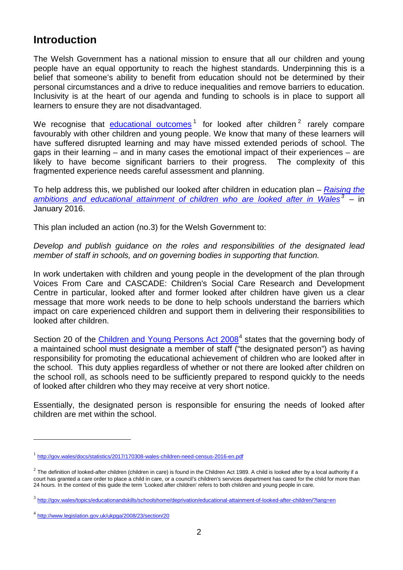# <span id="page-3-0"></span>**Introduction**

The Welsh Government has a national mission to ensure that all our children and young people have an equal opportunity to reach the highest standards. Underpinning this is a belief that someone's ability to benefit from education should not be determined by their personal circumstances and a drive to reduce inequalities and remove barriers to education. Inclusivity is at the heart of our agenda and funding to schools is in place to support all learners to ensure they are not disadvantaged.

We recognise that [educational outcomes](http://gov.wales/docs/statistics/2017/170308-wales-children-need-census-2016-en.pdf)<sup>[1](#page-3-1)</sup> for looked after children<sup>[2](#page-3-2)</sup> rarely compare favourably with other children and young people. We know that many of these learners will have suffered disrupted learning and may have missed extended periods of school. The gaps in their learning – and in many cases the emotional impact of their experiences – are likely to have become significant barriers to their progress. The complexity of this fragmented experience needs careful assessment and planning.

To help address this, we published our looked after children in education plan – *[Raising the](http://gov.wales/topics/educationandskills/schoolshome/deprivation/educational-attainment-of-looked-after-children/?lang=en)  [ambitions and educational attainment of children who are looked after in Wales](http://gov.wales/topics/educationandskills/schoolshome/deprivation/educational-attainment-of-looked-after-children/?lang=en) [3](#page-3-3) –* in January 2016.

This plan included an action (no.3) for the Welsh Government to:

*Develop and publish guidance on the roles and responsibilities of the designated lead member of staff in schools, and on governing bodies in supporting that function.*

In work undertaken with children and young people in the development of the plan through Voices From Care and CASCADE: Children's Social Care Research and Development Centre in particular, looked after and former looked after children have given us a clear message that more work needs to be done to help schools understand the barriers which impact on care experienced children and support them in delivering their responsibilities to looked after children.

Section 20 of the [Children and Young Persons Act 2008](http://www.legislation.gov.uk/ukpga/2008/23/section/20)<sup>[4](#page-3-4)</sup> states that the governing body of a maintained school must designate a member of staff ("the designated person") as having responsibility for promoting the educational achievement of children who are looked after in the school. This duty applies regardless of whether or not there are looked after children on the school roll, as schools need to be sufficiently prepared to respond quickly to the needs of looked after children who they may receive at very short notice.

Essentially, the designated person is responsible for ensuring the needs of looked after children are met within the school.

<span id="page-3-1"></span><sup>1</sup> <http://gov.wales/docs/statistics/2017/170308-wales-children-need-census-2016-en.pdf>

<span id="page-3-2"></span> $^{2}$  The definition of looked-after children (children in care) is found in the Children Act 1989. A child is looked after by a local authority if a court has granted a care order to place a child in care, or a council's children's services department has cared for the child for more than 24 hours. In the context of this guide the term 'Looked after children' refers to both children and young people in care.

<span id="page-3-3"></span><sup>3</sup> <http://gov.wales/topics/educationandskills/schoolshome/deprivation/educational-attainment-of-looked-after-children/?lang=en>

<span id="page-3-4"></span><sup>4</sup> <http://www.legislation.gov.uk/ukpga/2008/23/section/20>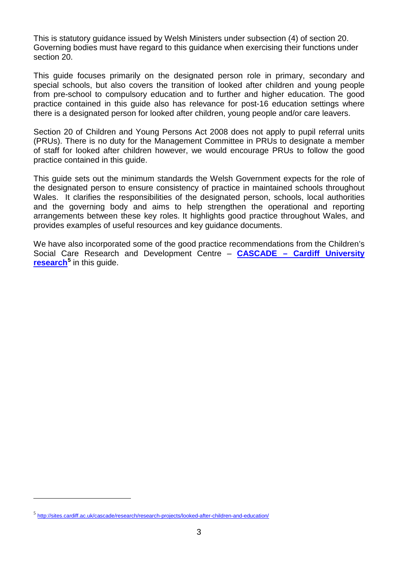This is statutory guidance issued by Welsh Ministers under subsection (4) of section 20. Governing bodies must have regard to this guidance when exercising their functions under section 20.

This guide focuses primarily on the designated person role in primary, secondary and special schools, but also covers the transition of looked after children and young people from pre-school to compulsory education and to further and higher education. The good practice contained in this guide also has relevance for post-16 education settings where there is a designated person for looked after children, young people and/or care leavers.

Section 20 of Children and Young Persons Act 2008 does not apply to pupil referral units (PRUs). There is no duty for the Management Committee in PRUs to designate a member of staff for looked after children however, we would encourage PRUs to follow the good practice contained in this guide.

This guide sets out the minimum standards the Welsh Government expects for the role of the designated person to ensure consistency of practice in maintained schools throughout Wales. It clarifies the responsibilities of the designated person, schools, local authorities and the governing body and aims to help strengthen the operational and reporting arrangements between these key roles. It highlights good practice throughout Wales, and provides examples of useful resources and key guidance documents.

We have also incorporated some of the good practice recommendations from the Children's Social Care Research and Development Centre – **CASCADE – [Cardiff University](http://sites.cardiff.ac.uk/cascade/looked-after-children-and-education/) [research](http://sites.cardiff.ac.uk/cascade/looked-after-children-and-education/)[5](#page-4-0)** in this guide.

<span id="page-4-0"></span><sup>5</sup> <http://sites.cardiff.ac.uk/cascade/research/research-projects/looked-after-children-and-education/>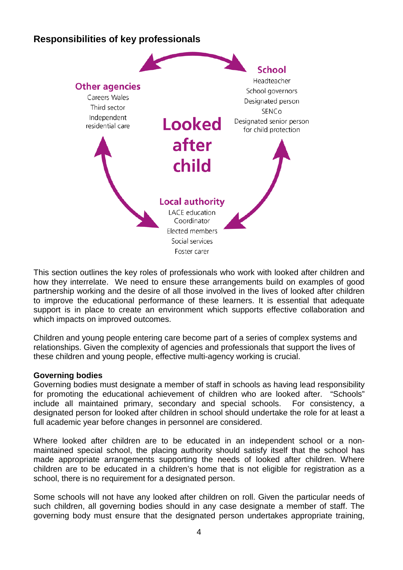# <span id="page-5-0"></span>**Responsibilities of key professionals**



This section outlines the key roles of professionals who work with looked after children and how they interrelate. We need to ensure these arrangements build on examples of good partnership working and the desire of all those involved in the lives of looked after children to improve the educational performance of these learners. It is essential that adequate support is in place to create an environment which supports effective collaboration and which impacts on improved outcomes.

Children and young people entering care become part of a series of complex systems and relationships. Given the complexity of agencies and professionals that support the lives of these children and young people, effective multi-agency working is crucial.

#### **Governing bodies**

Governing bodies must designate a member of staff in schools as having lead responsibility for promoting the educational achievement of children who are looked after. "Schools" include all maintained primary, secondary and special schools. For consistency, a designated person for looked after children in school should undertake the role for at least a full academic year before changes in personnel are considered.

Where looked after children are to be educated in an independent school or a nonmaintained special school, the placing authority should satisfy itself that the school has made appropriate arrangements supporting the needs of looked after children. Where children are to be educated in a children's home that is not eligible for registration as a school, there is no requirement for a designated person.

Some schools will not have any looked after children on roll. Given the particular needs of such children, all governing bodies should in any case designate a member of staff. The governing body must ensure that the designated person undertakes appropriate training,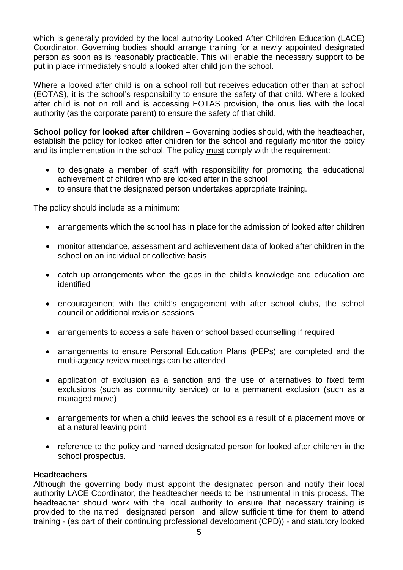which is generally provided by the local authority Looked After Children Education (LACE) Coordinator. Governing bodies should arrange training for a newly appointed designated person as soon as is reasonably practicable. This will enable the necessary support to be put in place immediately should a looked after child join the school.

Where a looked after child is on a school roll but receives education other than at school (EOTAS), it is the school's responsibility to ensure the safety of that child. Where a looked after child is not on roll and is accessing EOTAS provision, the onus lies with the local authority (as the corporate parent) to ensure the safety of that child.

**School policy for looked after children** – Governing bodies should, with the headteacher, establish the policy for looked after children for the school and regularly monitor the policy and its implementation in the school. The policy must comply with the requirement:

- to designate a member of staff with responsibility for promoting the educational achievement of children who are looked after in the school
- to ensure that the designated person undertakes appropriate training.

The policy should include as a minimum:

- arrangements which the school has in place for the admission of looked after children
- monitor attendance, assessment and achievement data of looked after children in the school on an individual or collective basis
- catch up arrangements when the gaps in the child's knowledge and education are identified
- encouragement with the child's engagement with after school clubs, the school council or additional revision sessions
- arrangements to access a safe haven or school based counselling if required
- arrangements to ensure Personal Education Plans (PEPs) are completed and the multi-agency review meetings can be attended
- application of exclusion as a sanction and the use of alternatives to fixed term exclusions (such as community service) or to a permanent exclusion (such as a managed move)
- arrangements for when a child leaves the school as a result of a placement move or at a natural leaving point
- reference to the policy and named designated person for looked after children in the school prospectus.

#### **Headteachers**

Although the governing body must appoint the designated person and notify their local authority LACE Coordinator, the headteacher needs to be instrumental in this process. The headteacher should work with the local authority to ensure that necessary training is provided to the named designated person and allow sufficient time for them to attend training - (as part of their continuing professional development (CPD)) - and statutory looked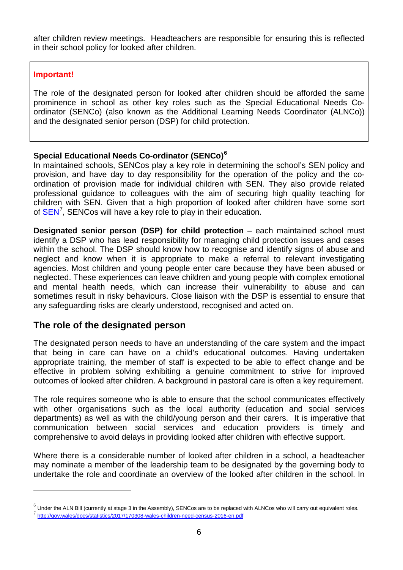after children review meetings. Headteachers are responsible for ensuring this is reflected in their school policy for looked after children.

#### **Important!**

-

The role of the designated person for looked after children should be afforded the same prominence in school as other key roles such as the Special Educational Needs Coordinator (SENCo) (also known as the Additional Learning Needs Coordinator (ALNCo)) and the designated senior person (DSP) for child protection.

## **Special Educational Needs Co-ordinator (SENCo) [6](#page-7-1)**

In maintained schools, SENCos play a key role in determining the school's SEN policy and provision, and have day to day responsibility for the operation of the policy and the coordination of provision made for individual children with SEN. They also provide related professional guidance to colleagues with the aim of securing high quality teaching for children with SEN. Given that a high proportion of looked after children have some sort of **SEN<sup>[7](#page-7-2)</sup>**, [SEN](http://gov.wales/docs/statistics/2017/170308-wales-children-need-census-2016-en.pdf)Cos will have a key role to play in their education.

**Designated senior person (DSP) for child protection** – each maintained school must identify a DSP who has lead responsibility for managing child protection issues and cases within the school. The DSP should know how to recognise and identify signs of abuse and neglect and know when it is appropriate to make a referral to relevant investigating agencies. Most children and young people enter care because they have been abused or neglected. These experiences can leave children and young people with complex emotional and mental health needs, which can increase their vulnerability to abuse and can sometimes result in risky behaviours. Close liaison with the DSP is essential to ensure that any safeguarding risks are clearly understood, recognised and acted on.

## <span id="page-7-0"></span>**The role of the designated person**

The designated person needs to have an understanding of the care system and the impact that being in care can have on a child's educational outcomes. Having undertaken appropriate training, the member of staff is expected to be able to effect change and be effective in problem solving exhibiting a genuine commitment to strive for improved outcomes of looked after children. A background in pastoral care is often a key requirement.

The role requires someone who is able to ensure that the school communicates effectively with other organisations such as the local authority (education and social services departments) as well as with the child/young person and their carers. It is imperative that communication between social services and education providers is timely and comprehensive to avoid delays in providing looked after children with effective support.

Where there is a considerable number of looked after children in a school, a headteacher may nominate a member of the leadership team to be designated by the governing body to undertake the role and coordinate an overview of the looked after children in the school. In

<span id="page-7-2"></span><span id="page-7-1"></span> $^6$  Under the ALN Bill (currently at stage 3 in the Assembly), SENCos are to be replaced with ALNCos who will carry out equivalent roles. <sup>7</sup> <http://gov.wales/docs/statistics/2017/170308-wales-children-need-census-2016-en.pdf>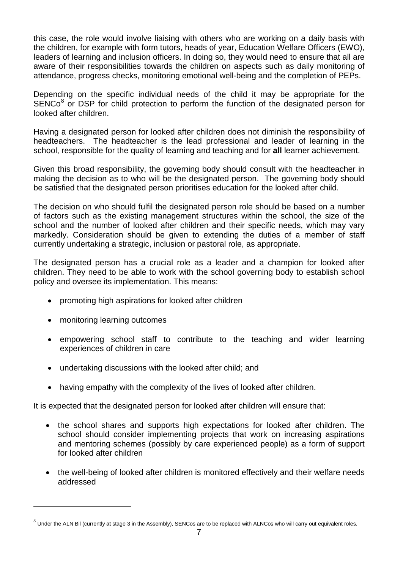this case, the role would involve liaising with others who are working on a daily basis with the children, for example with form tutors, heads of year, Education Welfare Officers (EWO), leaders of learning and inclusion officers. In doing so, they would need to ensure that all are aware of their responsibilities towards the children on aspects such as daily monitoring of attendance, progress checks, monitoring emotional well-being and the completion of PEPs.

Depending on the specific individual needs of the child it may be appropriate for the  $SENCo<sup>8</sup>$  $SENCo<sup>8</sup>$  $SENCo<sup>8</sup>$  or DSP for child protection to perform the function of the designated person for looked after children.

Having a designated person for looked after children does not diminish the responsibility of headteachers. The headteacher is the lead professional and leader of learning in the school, responsible for the quality of learning and teaching and for **all** learner achievement.

Given this broad responsibility, the governing body should consult with the headteacher in making the decision as to who will be the designated person. The governing body should be satisfied that the designated person prioritises education for the looked after child.

The decision on who should fulfil the designated person role should be based on a number of factors such as the existing management structures within the school, the size of the school and the number of looked after children and their specific needs, which may vary markedly. Consideration should be given to extending the duties of a member of staff currently undertaking a strategic, inclusion or pastoral role, as appropriate.

The designated person has a crucial role as a leader and a champion for looked after children. They need to be able to work with the school governing body to establish school policy and oversee its implementation. This means:

- promoting high aspirations for looked after children
- monitoring learning outcomes

<u>.</u>

- empowering school staff to contribute to the teaching and wider learning experiences of children in care
- undertaking discussions with the looked after child; and
- having empathy with the complexity of the lives of looked after children.

It is expected that the designated person for looked after children will ensure that:

- the school shares and supports high expectations for looked after children. The school should consider implementing projects that work on increasing aspirations and mentoring schemes (possibly by care experienced people) as a form of support for looked after children
- the well-being of looked after children is monitored effectively and their welfare needs addressed

<span id="page-8-0"></span> $8$  Under the ALN Bil (currently at stage 3 in the Assembly), SENCos are to be replaced with ALNCos who will carry out equivalent roles.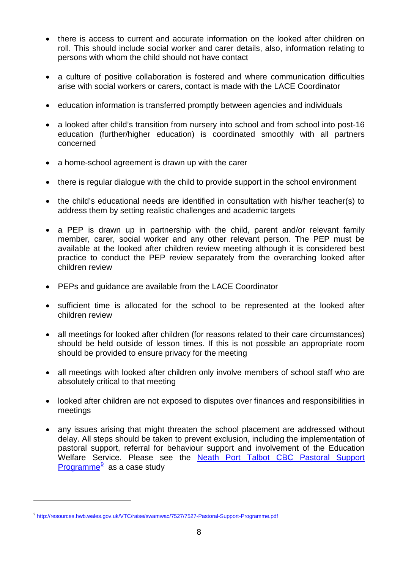- there is access to current and accurate information on the looked after children on roll. This should include social worker and carer details, also, information relating to persons with whom the child should not have contact
- a culture of positive collaboration is fostered and where communication difficulties arise with social workers or carers, contact is made with the LACE Coordinator
- education information is transferred promptly between agencies and individuals
- a looked after child's transition from nursery into school and from school into post-16 education (further/higher education) is coordinated smoothly with all partners concerned
- a home-school agreement is drawn up with the carer
- there is regular dialogue with the child to provide support in the school environment
- the child's educational needs are identified in consultation with his/her teacher(s) to address them by setting realistic challenges and academic targets
- a PEP is drawn up in partnership with the child, parent and/or relevant family member, carer, social worker and any other relevant person. The PEP must be available at the looked after children review meeting although it is considered best practice to conduct the PEP review separately from the overarching looked after children review
- PEPs and guidance are available from the LACE Coordinator
- sufficient time is allocated for the school to be represented at the looked after children review
- all meetings for looked after children (for reasons related to their care circumstances) should be held outside of lesson times. If this is not possible an appropriate room should be provided to ensure privacy for the meeting
- all meetings with looked after children only involve members of school staff who are absolutely critical to that meeting
- looked after children are not exposed to disputes over finances and responsibilities in meetings
- any issues arising that might threaten the school placement are addressed without delay. All steps should be taken to prevent exclusion, including the implementation of pastoral support, referral for behaviour support and involvement of the Education Welfare Service. Please see the [Neath Port Talbot CBC Pastoral Support](http://resources.hwb.wales.gov.uk/VTC/raise/swamwac/7527/7527-Pastoral-Support-Programme.pdf)  [Programme](http://resources.hwb.wales.gov.uk/VTC/raise/swamwac/7527/7527-Pastoral-Support-Programme.pdf) $9$  as a case study

<span id="page-9-0"></span><sup>&</sup>lt;sup>9</sup> <http://resources.hwb.wales.gov.uk/VTC/raise/swamwac/7527/7527-Pastoral-Support-Programme.pdf>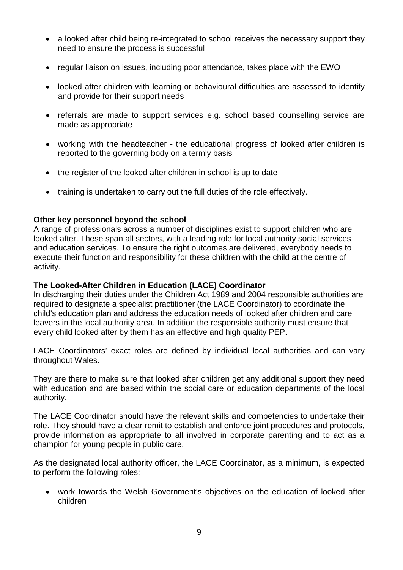- a looked after child being re-integrated to school receives the necessary support they need to ensure the process is successful
- regular liaison on issues, including poor attendance, takes place with the EWO
- looked after children with learning or behavioural difficulties are assessed to identify and provide for their support needs
- referrals are made to support services e.g. school based counselling service are made as appropriate
- working with the headteacher the educational progress of looked after children is reported to the governing body on a termly basis
- the register of the looked after children in school is up to date
- training is undertaken to carry out the full duties of the role effectively.

#### **Other key personnel beyond the school**

A range of professionals across a number of disciplines exist to support children who are looked after. These span all sectors, with a leading role for local authority social services and education services. To ensure the right outcomes are delivered, everybody needs to execute their function and responsibility for these children with the child at the centre of activity.

#### **The Looked-After Children in Education (LACE) Coordinator**

In discharging their duties under the Children Act 1989 and 2004 responsible authorities are required to designate a specialist practitioner (the LACE Coordinator) to coordinate the child's education plan and address the education needs of looked after children and care leavers in the local authority area. In addition the responsible authority must ensure that every child looked after by them has an effective and high quality PEP.

LACE Coordinators' exact roles are defined by individual local authorities and can vary throughout Wales.

They are there to make sure that looked after children get any additional support they need with education and are based within the social care or education departments of the local authority.

The LACE Coordinator should have the relevant skills and competencies to undertake their role. They should have a clear remit to establish and enforce joint procedures and protocols, provide information as appropriate to all involved in corporate parenting and to act as a champion for young people in public care.

As the designated local authority officer, the LACE Coordinator, as a minimum, is expected to perform the following roles:

• work towards the Welsh Government's objectives on the education of looked after children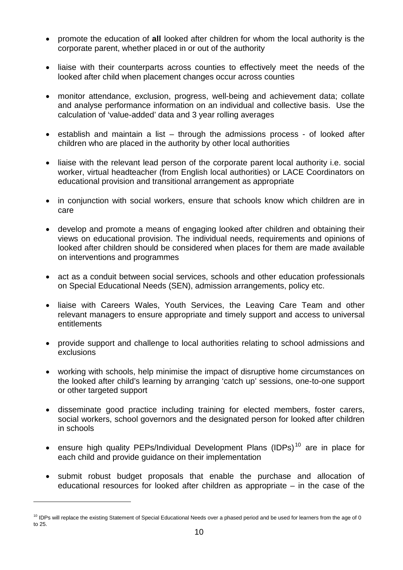- promote the education of **all** looked after children for whom the local authority is the corporate parent, whether placed in or out of the authority
- liaise with their counterparts across counties to effectively meet the needs of the looked after child when placement changes occur across counties
- monitor attendance, exclusion, progress, well-being and achievement data; collate and analyse performance information on an individual and collective basis. Use the calculation of 'value-added' data and 3 year rolling averages
- establish and maintain a list through the admissions process of looked after children who are placed in the authority by other local authorities
- liaise with the relevant lead person of the corporate parent local authority i.e. social worker, virtual headteacher (from English local authorities) or LACE Coordinators on educational provision and transitional arrangement as appropriate
- in conjunction with social workers, ensure that schools know which children are in care
- develop and promote a means of engaging looked after children and obtaining their views on educational provision. The individual needs, requirements and opinions of looked after children should be considered when places for them are made available on interventions and programmes
- act as a conduit between social services, schools and other education professionals on Special Educational Needs (SEN), admission arrangements, policy etc.
- liaise with Careers Wales, Youth Services, the Leaving Care Team and other relevant managers to ensure appropriate and timely support and access to universal entitlements
- provide support and challenge to local authorities relating to school admissions and exclusions
- working with schools, help minimise the impact of disruptive home circumstances on the looked after child's learning by arranging 'catch up' sessions, one-to-one support or other targeted support
- disseminate good practice including training for elected members, foster carers, social workers, school governors and the designated person for looked after children in schools
- ensure high quality PEPs/Individual Development Plans (IDPs)<sup>[10](#page-11-0)</sup> are in place for each child and provide guidance on their implementation
- submit robust budget proposals that enable the purchase and allocation of educational resources for looked after children as appropriate – in the case of the

<span id="page-11-0"></span> $10$  IDPs will replace the existing Statement of Special Educational Needs over a phased period and be used for learners from the age of 0 to 25.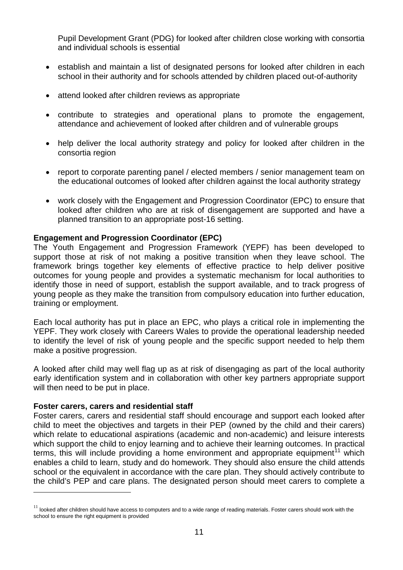Pupil Development Grant (PDG) for looked after children close working with consortia and individual schools is essential

- establish and maintain a list of designated persons for looked after children in each school in their authority and for schools attended by children placed out-of-authority
- attend looked after children reviews as appropriate
- contribute to strategies and operational plans to promote the engagement, attendance and achievement of looked after children and of vulnerable groups
- help deliver the local authority strategy and policy for looked after children in the consortia region
- report to corporate parenting panel / elected members / senior management team on the educational outcomes of looked after children against the local authority strategy
- work closely with the Engagement and Progression Coordinator (EPC) to ensure that looked after children who are at risk of disengagement are supported and have a planned transition to an appropriate post-16 setting.

#### **Engagement and Progression Coordinator (EPC)**

The Youth Engagement and Progression Framework (YEPF) has been developed to support those at risk of not making a positive transition when they leave school. The framework brings together key elements of effective practice to help deliver positive outcomes for young people and provides a systematic mechanism for local authorities to identify those in need of support, establish the support available, and to track progress of young people as they make the transition from compulsory education into further education, training or employment.

Each local authority has put in place an EPC, who plays a critical role in implementing the YEPF. They work closely with Careers Wales to provide the operational leadership needed to identify the level of risk of young people and the specific support needed to help them make a positive progression.

A looked after child may well flag up as at risk of disengaging as part of the local authority early identification system and in collaboration with other key partners appropriate support will then need to be put in place.

#### **Foster carers, carers and residential staff**

-

Foster carers, carers and residential staff should encourage and support each looked after child to meet the objectives and targets in their PEP (owned by the child and their carers) which relate to educational aspirations (academic and non-academic) and leisure interests which support the child to enjoy learning and to achieve their learning outcomes. In practical terms, this will include providing a home environment and appropriate equipment<sup>[11](#page-12-0)</sup> which enables a child to learn, study and do homework. They should also ensure the child attends school or the equivalent in accordance with the care plan. They should actively contribute to the child's PEP and care plans. The designated person should meet carers to complete a

<span id="page-12-0"></span> $11$  looked after children should have access to computers and to a wide range of reading materials. Foster carers should work with the school to ensure the right equipment is provided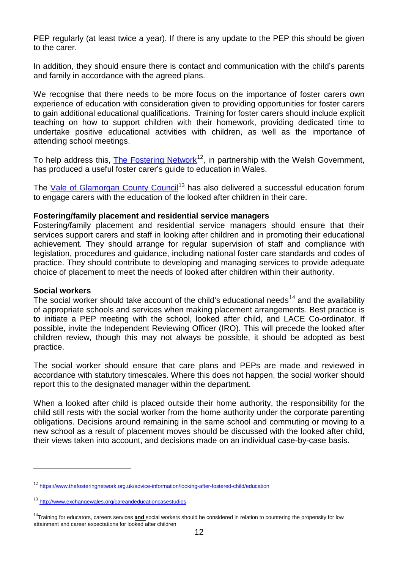PEP regularly (at least twice a year). If there is any update to the PEP this should be given to the carer.

In addition, they should ensure there is contact and communication with the child's parents and family in accordance with the agreed plans.

We recognise that there needs to be more focus on the importance of foster carers own experience of education with consideration given to providing opportunities for foster carers to gain additional educational qualifications. Training for foster carers should include explicit teaching on how to support children with their homework, providing dedicated time to undertake positive educational activities with children, as well as the importance of attending school meetings.

To help address this, [The Fostering Network](https://www.thefosteringnetwork.org.uk/advice-information/looking-after-fostered-child/education)<sup>[12](#page-13-0)</sup>, in partnership with the Welsh Government, has produced a useful foster carer's guide to education in Wales.

The [Vale of Glamorgan County Council](http://www.exchangewales.org/careandeducationcasestudies)<sup>[13](#page-13-1)</sup> has also delivered a successful education forum to engage carers with the education of the looked after children in their care.

#### **Fostering/family placement and residential service managers**

Fostering/family placement and residential service managers should ensure that their services support carers and staff in looking after children and in promoting their educational achievement. They should arrange for regular supervision of staff and compliance with legislation, procedures and guidance, including national foster care standards and codes of practice. They should contribute to developing and managing services to provide adequate choice of placement to meet the needs of looked after children within their authority.

#### **Social workers**

-

The social worker should take account of the child's educational needs<sup>[14](#page-13-2)</sup> and the availability of appropriate schools and services when making placement arrangements. Best practice is to initiate a PEP meeting with the school, looked after child, and LACE Co-ordinator. If possible, invite the Independent Reviewing Officer (IRO). This will precede the looked after children review, though this may not always be possible, it should be adopted as best practice.

The social worker should ensure that care plans and PEPs are made and reviewed in accordance with statutory timescales. Where this does not happen, the social worker should report this to the designated manager within the department.

When a looked after child is placed outside their home authority, the responsibility for the child still rests with the social worker from the home authority under the corporate parenting obligations. Decisions around remaining in the same school and commuting or moving to a new school as a result of placement moves should be discussed with the looked after child, their views taken into account, and decisions made on an individual case-by-case basis.

<span id="page-13-0"></span><sup>12</sup> <https://www.thefosteringnetwork.org.uk/advice-information/looking-after-fostered-child/education>

<span id="page-13-1"></span><sup>13</sup> <http://www.exchangewales.org/careandeducationcasestudies>

<span id="page-13-2"></span><sup>&</sup>lt;sup>14</sup>Training for educators, careers services **and** social workers should be considered in relation to countering the propensity for low attainment and career expectations for looked after children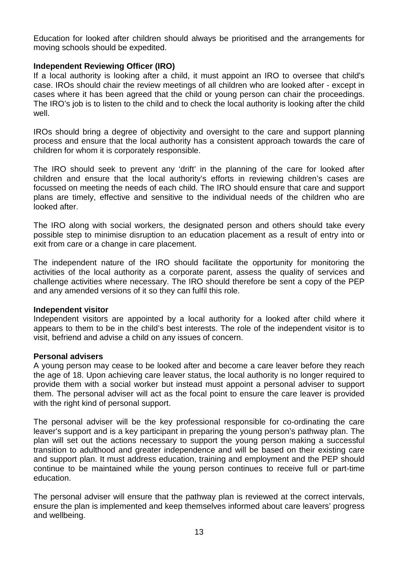Education for looked after children should always be prioritised and the arrangements for moving schools should be expedited.

#### **Independent Reviewing Officer (IRO)**

If a local authority is looking after a child, it must appoint an IRO to oversee that child's case. IROs should chair the review meetings of all children who are looked after - except in cases where it has been agreed that the child or young person can chair the proceedings. The IRO's job is to listen to the child and to check the local authority is looking after the child well.

IROs should bring a degree of objectivity and oversight to the care and support planning process and ensure that the local authority has a consistent approach towards the care of children for whom it is corporately responsible.

The IRO should seek to prevent any 'drift' in the planning of the care for looked after children and ensure that the local authority's efforts in reviewing children's cases are focussed on meeting the needs of each child. The IRO should ensure that care and support plans are timely, effective and sensitive to the individual needs of the children who are looked after.

The IRO along with social workers, the designated person and others should take every possible step to minimise disruption to an education placement as a result of entry into or exit from care or a change in care placement.

The independent nature of the IRO should facilitate the opportunity for monitoring the activities of the local authority as a corporate parent, assess the quality of services and challenge activities where necessary. The IRO should therefore be sent a copy of the PEP and any amended versions of it so they can fulfil this role.

#### **Independent visitor**

Independent visitors are appointed by a local authority for a looked after child where it appears to them to be in the child's best interests. The role of the independent visitor is to visit, befriend and advise a child on any issues of concern.

#### **Personal advisers**

A young person may cease to be looked after and become a care leaver before they reach the age of 18. Upon achieving care leaver status, the local authority is no longer required to provide them with a social worker but instead must appoint a personal adviser to support them. The personal adviser will act as the focal point to ensure the care leaver is provided with the right kind of personal support.

The personal adviser will be the key professional responsible for co-ordinating the care leaver's support and is a key participant in preparing the young person's pathway plan. The plan will set out the actions necessary to support the young person making a successful transition to adulthood and greater independence and will be based on their existing care and support plan. It must address education, training and employment and the PEP should continue to be maintained while the young person continues to receive full or part-time education.

The personal adviser will ensure that the pathway plan is reviewed at the correct intervals, ensure the plan is implemented and keep themselves informed about care leavers' progress and wellbeing.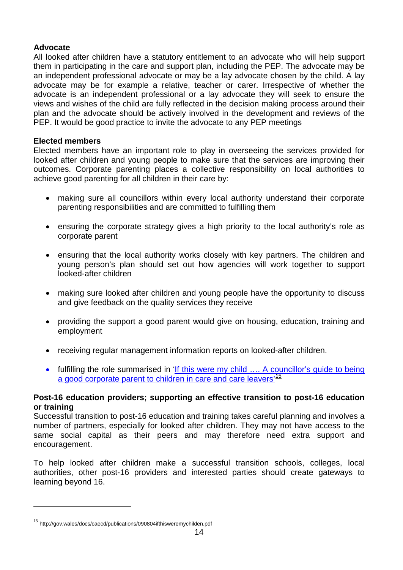#### **Advocate**

All looked after children have a statutory entitlement to an advocate who will help support them in participating in the care and support plan, including the PEP. The advocate may be an independent professional advocate or may be a lay advocate chosen by the child. A lay advocate may be for example a relative, teacher or carer. Irrespective of whether the advocate is an independent professional or a lay advocate they will seek to ensure the views and wishes of the child are fully reflected in the decision making process around their plan and the advocate should be actively involved in the development and reviews of the PEP. It would be good practice to invite the advocate to any PEP meetings

#### **Elected members**

Elected members have an important role to play in overseeing the services provided for looked after children and young people to make sure that the services are improving their outcomes. Corporate parenting places a collective responsibility on local authorities to achieve good parenting for all children in their care by:

- making sure all councillors within every local authority understand their corporate parenting responsibilities and are committed to fulfilling them
- ensuring the corporate strategy gives a high priority to the local authority's role as corporate parent
- ensuring that the local authority works closely with key partners. The children and young person's plan should set out how agencies will work together to support looked-after children
- making sure looked after children and young people have the opportunity to discuss and give feedback on the quality services they receive
- providing the support a good parent would give on housing, education, training and employment
- receiving regular management information reports on looked-after children.
- fulfilling the role summarised in 'If this were my child .... A councillor's quide to being a good corporate parent to children in care and care leavers<sup>[15](#page-15-0)</sup>

#### **Post-16 education providers; supporting an effective transition to post-16 education or training**

Successful transition to post-16 education and training takes careful planning and involves a number of partners, especially for looked after children. They may not have access to the same social capital as their peers and may therefore need extra support and encouragement.

To help looked after children make a successful transition schools, colleges, local authorities, other post-16 providers and interested parties should create gateways to learning beyond 16.

<u>.</u>

<span id="page-15-0"></span><sup>&</sup>lt;sup>15</sup> http://gov.wales/docs/caecd/publications/090804ifthisweremychilden.pdf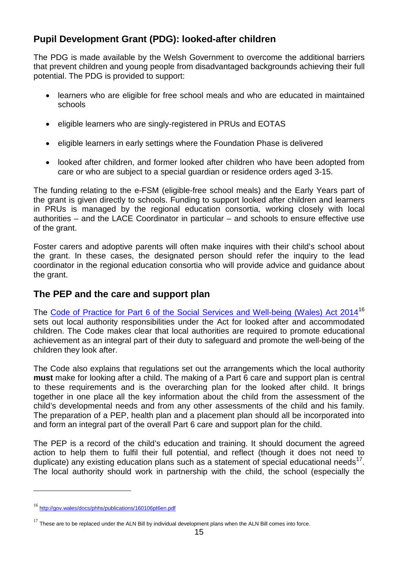# <span id="page-16-0"></span>**Pupil Development Grant (PDG): looked-after children**

The PDG is made available by the Welsh Government to overcome the additional barriers that prevent children and young people from disadvantaged backgrounds achieving their full potential. The PDG is provided to support:

- learners who are eligible for free school meals and who are educated in maintained schools
- eligible learners who are singly-registered in PRUs and EOTAS
- eligible learners in early settings where the Foundation Phase is delivered
- looked after children, and former looked after children who have been adopted from care or who are subject to a special guardian or residence orders aged 3-15.

The funding relating to the e-FSM (eligible-free school meals) and the Early Years part of the grant is given directly to schools. Funding to support looked after children and learners in PRUs is managed by the regional education consortia, working closely with local authorities – and the LACE Coordinator in particular – and schools to ensure effective use of the grant.

Foster carers and adoptive parents will often make inquires with their child's school about the grant. In these cases, the designated person should refer the inquiry to the lead coordinator in the regional education consortia who will provide advice and guidance about the grant.

# <span id="page-16-1"></span>**The PEP and the care and support plan**

The [Code of Practice for Part 6 of the Social Services and Well-being \(Wales\) Act 2014](http://gov.wales/docs/phhs/publications/160106pt6en.pdf)<sup>[16](#page-16-2)</sup> sets out local authority responsibilities under the Act for looked after and accommodated children. The Code makes clear that local authorities are required to promote educational achievement as an integral part of their duty to safeguard and promote the well-being of the children they look after.

The Code also explains that regulations set out the arrangements which the local authority **must** make for looking after a child. The making of a Part 6 care and support plan is central to these requirements and is the overarching plan for the looked after child. It brings together in one place all the key information about the child from the assessment of the child's developmental needs and from any other assessments of the child and his family. The preparation of a PEP, health plan and a placement plan should all be incorporated into and form an integral part of the overall Part 6 care and support plan for the child.

The PEP is a record of the child's education and training. It should document the agreed action to help them to fulfil their full potential, and reflect (though it does not need to duplicate) any existing education plans such as a statement of special educational needs<sup>1</sup>. The local authority should work in partnership with the child, the school (especially the

<span id="page-16-2"></span><sup>16</sup> <http://gov.wales/docs/phhs/publications/160106pt6en.pdf>

<span id="page-16-3"></span> $17$  These are to be replaced under the ALN Bill by individual development plans when the ALN Bill comes into force.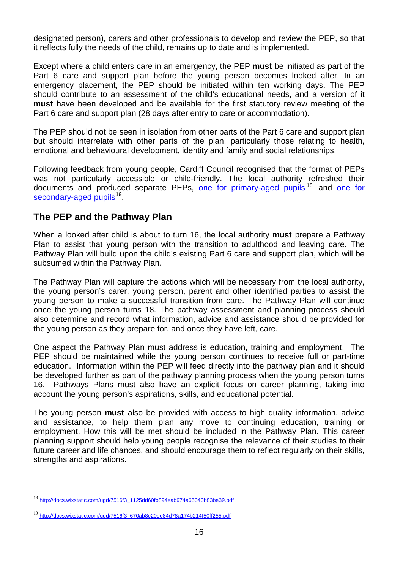designated person), carers and other professionals to develop and review the PEP, so that it reflects fully the needs of the child, remains up to date and is implemented.

Except where a child enters care in an emergency, the PEP **must** be initiated as part of the Part 6 care and support plan before the young person becomes looked after. In an emergency placement, the PEP should be initiated within ten working days. The PEP should contribute to an assessment of the child's educational needs, and a version of it **must** have been developed and be available for the first statutory review meeting of the Part 6 care and support plan (28 days after entry to care or accommodation).

The PEP should not be seen in isolation from other parts of the Part 6 care and support plan but should interrelate with other parts of the plan, particularly those relating to health, emotional and behavioural development, identity and family and social relationships.

Following feedback from young people, Cardiff Council recognised that the format of PEPs was not particularly accessible or child-friendly. The local authority refreshed their documents and produced separate PEPs, [one for primary-aged pupils](http://docs.wixstatic.com/ugd/7516f3_1125dd60fb894eab974a65040b83be39.pdf)<sup>[18](#page-17-1)</sup> and one for [secondary-aged pupils](http://docs.wixstatic.com/ugd/7516f3_670ab8c20de84d78a174b214f50ff255.pdf)<sup>19</sup>.

# <span id="page-17-0"></span>**The PEP and the Pathway Plan**

When a looked after child is about to turn 16, the local authority **must** prepare a Pathway Plan to assist that young person with the transition to adulthood and leaving care. The Pathway Plan will build upon the child's existing Part 6 care and support plan, which will be subsumed within the Pathway Plan.

The Pathway Plan will capture the actions which will be necessary from the local authority, the young person's carer, young person, parent and other identified parties to assist the young person to make a successful transition from care. The Pathway Plan will continue once the young person turns 18. The pathway assessment and planning process should also determine and record what information, advice and assistance should be provided for the young person as they prepare for, and once they have left, care.

One aspect the Pathway Plan must address is education, training and employment. The PEP should be maintained while the young person continues to receive full or part-time education. Information within the PEP will feed directly into the pathway plan and it should be developed further as part of the pathway planning process when the young person turns 16. Pathways Plans must also have an explicit focus on career planning, taking into account the young person's aspirations, skills, and educational potential.

The young person **must** also be provided with access to high quality information, advice and assistance, to help them plan any move to continuing education, training or employment. How this will be met should be included in the Pathway Plan. This career planning support should help young people recognise the relevance of their studies to their future career and life chances, and should encourage them to reflect regularly on their skills, strengths and aspirations.

<span id="page-17-1"></span>[http://docs.wixstatic.com/ugd/7516f3\\_1125dd60fb894eab974a65040b83be39.pdf](http://docs.wixstatic.com/ugd/7516f3_1125dd60fb894eab974a65040b83be39.pdf)

<span id="page-17-2"></span><sup>19</sup> [http://docs.wixstatic.com/ugd/7516f3\\_670ab8c20de84d78a174b214f50ff255.pdf](http://docs.wixstatic.com/ugd/7516f3_670ab8c20de84d78a174b214f50ff255.pdf)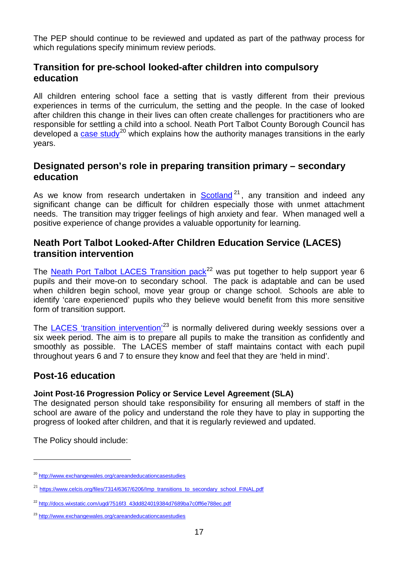The PEP should continue to be reviewed and updated as part of the pathway process for which regulations specify minimum review periods.

# <span id="page-18-0"></span>**Transition for pre-school looked-after children into compulsory education**

All children entering school face a setting that is vastly different from their previous experiences in terms of the curriculum, the setting and the people. In the case of looked after children this change in their lives can often create challenges for practitioners who are responsible for settling a child into a school. Neath Port Talbot County Borough Council has developed a [case study](http://www.exchangewales.org/careandeducationcasestudies)<sup>[20](#page-18-4)</sup> which explains how the authority manages transitions in the early years.

# <span id="page-18-1"></span>**Designated person's role in preparing transition primary – secondary education**

As we know from research undertaken in [Scotland](https://www.celcis.org/files/7314/6367/6206/Imp_transitions_to_secondary_school_FINAL.pdf)<sup>[21](#page-18-5)</sup>, any transition and indeed any significant change can be difficult for children especially those with unmet attachment needs. The transition may trigger feelings of high anxiety and fear. When managed well a positive experience of change provides a valuable opportunity for learning.

# <span id="page-18-2"></span>**Neath Port Talbot Looked-After Children Education Service (LACES) transition intervention**

The [Neath Port Talbot LACES Transition pack](http://docs.wixstatic.com/ugd/7516f3_43dd824019384d7689ba7c0ff6e788ec.pdf)<sup>[22](#page-18-6)</sup> was put together to help support year 6 pupils and their move-on to secondary school. The pack is adaptable and can be used when children begin school, move year group or change school. Schools are able to identify 'care experienced' pupils who they believe would benefit from this more sensitive form of transition support.

The [LACES 'transition intervention'](http://www.exchangewales.org/careandeducationcasestudies)<sup>[23](#page-18-7)</sup> is normally delivered during weekly sessions over a six week period. The aim is to prepare all pupils to make the transition as confidently and smoothly as possible. The LACES member of staff maintains contact with each pupil throughout years 6 and 7 to ensure they know and feel that they are 'held in mind'.

# <span id="page-18-3"></span>**Post-16 education**

#### **Joint Post-16 Progression Policy or Service Level Agreement (SLA)**

The designated person should take responsibility for ensuring all members of staff in the school are aware of the policy and understand the role they have to play in supporting the progress of looked after children, and that it is regularly reviewed and updated.

The Policy should include:

<span id="page-18-4"></span><sup>20</sup> <http://www.exchangewales.org/careandeducationcasestudies>

<span id="page-18-5"></span><sup>&</sup>lt;sup>21</sup> [https://www.celcis.org/files/7314/6367/6206/Imp\\_transitions\\_to\\_secondary\\_school\\_FINAL.pdf](https://www.celcis.org/files/7314/6367/6206/Imp_transitions_to_secondary_school_FINAL.pdf)

<span id="page-18-6"></span><sup>&</sup>lt;sup>22</sup> [http://docs.wixstatic.com/ugd/7516f3\\_43dd824019384d7689ba7c0ff6e788ec.pdf](http://docs.wixstatic.com/ugd/7516f3_43dd824019384d7689ba7c0ff6e788ec.pdf)

<span id="page-18-7"></span><sup>23</sup> <http://www.exchangewales.org/careandeducationcasestudies>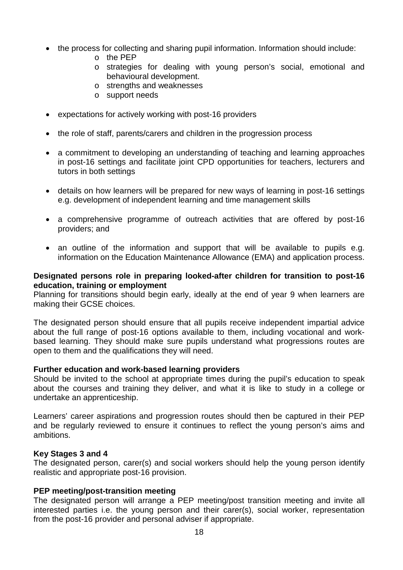- the process for collecting and sharing pupil information. Information should include:
	- $o$  the PFP
	- o strategies for dealing with young person's social, emotional and behavioural development.
	- o strengths and weaknesses
	- o support needs
- expectations for actively working with post-16 providers
- the role of staff, parents/carers and children in the progression process
- a commitment to developing an understanding of teaching and learning approaches in post-16 settings and facilitate joint CPD opportunities for teachers, lecturers and tutors in both settings
- details on how learners will be prepared for new ways of learning in post-16 settings e.g. development of independent learning and time management skills
- a comprehensive programme of outreach activities that are offered by post-16 providers; and
- an outline of the information and support that will be available to pupils e.g. information on the Education Maintenance Allowance (EMA) and application process.

#### **Designated persons role in preparing looked-after children for transition to post-16 education, training or employment**

Planning for transitions should begin early, ideally at the end of year 9 when learners are making their GCSE choices.

The designated person should ensure that all pupils receive independent impartial advice about the full range of post-16 options available to them, including vocational and workbased learning. They should make sure pupils understand what progressions routes are open to them and the qualifications they will need.

#### **Further education and work-based learning providers**

Should be invited to the school at appropriate times during the pupil's education to speak about the courses and training they deliver, and what it is like to study in a college or undertake an apprenticeship.

Learners' career aspirations and progression routes should then be captured in their PEP and be regularly reviewed to ensure it continues to reflect the young person's aims and ambitions.

#### **Key Stages 3 and 4**

The designated person, carer(s) and social workers should help the young person identify realistic and appropriate post-16 provision.

#### **PEP meeting/post-transition meeting**

The designated person will arrange a PEP meeting/post transition meeting and invite all interested parties i.e. the young person and their carer(s), social worker, representation from the post-16 provider and personal adviser if appropriate.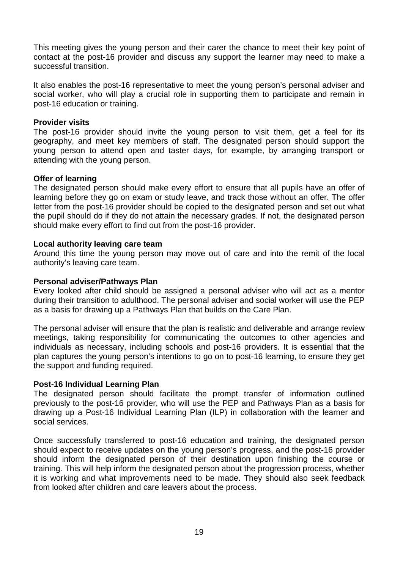This meeting gives the young person and their carer the chance to meet their key point of contact at the post-16 provider and discuss any support the learner may need to make a successful transition.

It also enables the post-16 representative to meet the young person's personal adviser and social worker, who will play a crucial role in supporting them to participate and remain in post-16 education or training.

#### **Provider visits**

The post-16 provider should invite the young person to visit them, get a feel for its geography, and meet key members of staff. The designated person should support the young person to attend open and taster days, for example, by arranging transport or attending with the young person.

#### **Offer of learning**

The designated person should make every effort to ensure that all pupils have an offer of learning before they go on exam or study leave, and track those without an offer. The offer letter from the post-16 provider should be copied to the designated person and set out what the pupil should do if they do not attain the necessary grades. If not, the designated person should make every effort to find out from the post-16 provider.

#### **Local authority leaving care team**

Around this time the young person may move out of care and into the remit of the local authority's leaving care team.

#### **Personal adviser/Pathways Plan**

Every looked after child should be assigned a personal adviser who will act as a mentor during their transition to adulthood. The personal adviser and social worker will use the PEP as a basis for drawing up a Pathways Plan that builds on the Care Plan.

The personal adviser will ensure that the plan is realistic and deliverable and arrange review meetings, taking responsibility for communicating the outcomes to other agencies and individuals as necessary, including schools and post-16 providers. It is essential that the plan captures the young person's intentions to go on to post-16 learning, to ensure they get the support and funding required.

#### **Post-16 Individual Learning Plan**

The designated person should facilitate the prompt transfer of information outlined previously to the post-16 provider, who will use the PEP and Pathways Plan as a basis for drawing up a Post-16 Individual Learning Plan (ILP) in collaboration with the learner and social services.

Once successfully transferred to post-16 education and training, the designated person should expect to receive updates on the young person's progress, and the post-16 provider should inform the designated person of their destination upon finishing the course or training. This will help inform the designated person about the progression process, whether it is working and what improvements need to be made. They should also seek feedback from looked after children and care leavers about the process.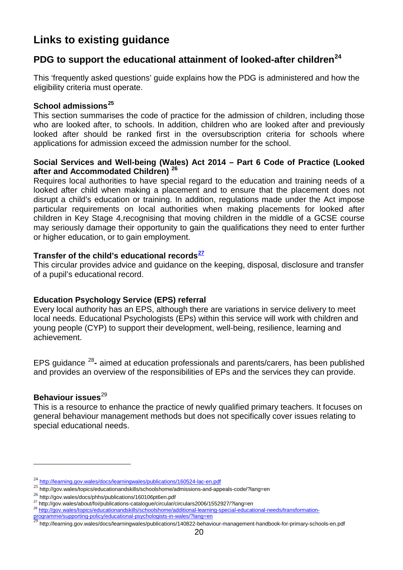# <span id="page-21-0"></span>**Links to existing guidance**

# <span id="page-21-1"></span>**[PDG to support the educational attainment of looked-after children](http://learning.gov.wales/docs/learningwales/publications/160524-lac-en.pdf)[24](#page-21-2)**

This 'frequently asked questions' guide explains how the PDG is administered and how the eligibility criteria must operate.

#### **[School admissions](http://gov.wales/topics/educationandskills/schoolshome/admissions-and-appeals-code/?lang=en)[25](#page-21-3)**

This section summarises the code of practice for the admission of children, including those who are looked after, to schools. In addition, children who are looked after and previously looked after should be ranked first in the oversubscription criteria for schools where applications for admission exceed the admission number for the school.

#### **Social Services and Well-being (Wales) Act 2014 – Part 6 [Code of Practice \(Looked](http://gov.wales/docs/phhs/publications/160106pt6en.pdf)  [after and Accommodated Children\)](http://gov.wales/docs/phhs/publications/160106pt6en.pdf) [26](#page-21-4)**

[Requires](http://gov.wales/docs/phhs/publications/160106pt6en.pdf) local authorities to have special regard to the education and training needs of a looked after child when making a placement and to ensure that the placement does not disrupt a child's education or training. In addition, regulations made under the Act impose particular requirements on local authorities when making placements for looked after children in Key Stage 4,recognising that moving children in the middle of a GCSE course may seriously damage their opportunity to gain the qualifications they need to enter further or higher education, or to gain employment.

#### **[Transfer of the child's educational records](http://gov.wales/about/foi/publications-catalogue/circular/circulars2006/1552927/?lang=en)[27](#page-21-5)**

This circular provides advice and guidance on the keeping, disposal, disclosure and transfer of a pupil's educational record.

#### **Education Psychology Service (EPS) referral**

Every local authority has an EPS, although there are variations in service delivery to meet local needs. Educational Psychologists (EPs) within this service will work with children and young people (CYP) to support their development, well-being, resilience, learning and achievement.

EPS [guidance](http://gov.wales/topics/educationandskills/schoolshome/additional-learning-special-educational-needs/transformation-programme/supporting-policy/educational-psychologists-in-wales/?lang=en) [28](#page-21-6)**-** aimed at education professionals and parents/carers, has been published and provides an overview of the responsibilities of EPs and the services they can provide.

#### **[Behaviour issues](http://learning.gov.wales/docs/learningwales/publications/140822-behaviour-management-handbook-for-primary-schools-en.pdf)**<sup>[29](#page-21-7)</sup>

-

This is a resource to enhance the practice of newly qualified primary teachers. It focuses on general behaviour management methods but does not specifically cover issues relating to special educational needs.

<span id="page-21-2"></span><sup>&</sup>lt;sup>24</sup> <http://learning.gov.wales/docs/learningwales/publications/160524-lac-en.pdf>

<span id="page-21-3"></span><sup>25</sup> http://gov.wales/topics/educationandskills/schoolshome/admissions-and-appeals-code/?lang=en

<span id="page-21-4"></span> $^{26}$  http://gov.wales/docs/phhs/publications/160106pt6en.pdf<br> $^{27}$  http://gov.wales/about/foi/publications-catalogue/circular/circulars2006/1552927/?lang=en

<span id="page-21-6"></span><span id="page-21-5"></span><sup>&</sup>lt;sup>28</sup> [http://gov.wales/topics/educationandskills/schoolshome/additional-learning-special-educational-needs/transformation](http://gov.wales/topics/educationandskills/schoolshome/additional-learning-special-educational-needs/transformation-programme/supporting-policy/educational-psychologists-in-wales/?lang=en)[programme/supporting-policy/educational-psychologists-in-wales/?lang=en](http://gov.wales/topics/educationandskills/schoolshome/additional-learning-special-educational-needs/transformation-programme/supporting-policy/educational-psychologists-in-wales/?lang=en)<br>29 http://accessional-psychologists-in-wales/?lang=en

<span id="page-21-7"></span><sup>29</sup> http://learning.gov.wales/docs/learningwales/publications/140822-behaviour-management-handbook-for-primary-schools-en.pdf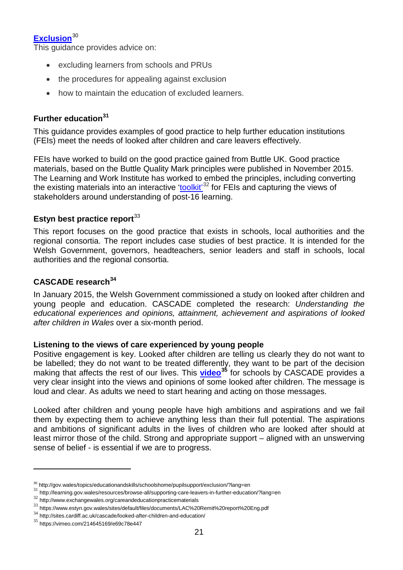## **[Exclusion](http://gov.wales/topics/educationandskills/schoolshome/pupilsupport/exclusion/?lang=en)**[30](#page-22-0)

This guidance provides advice on:

- excluding learners from schools and PRUs
- the procedures for appealing against exclusion
- how to maintain the education of excluded learners.

## **[Further education](http://learning.gov.wales/resources/browse-all/supporting-care-leavers-in-further-education/?lang=en)[31](#page-22-1)**

This guidance provides examples of good practice to help further education institutions (FEIs) meet the needs of looked after children and care leavers effectively.

FEIs have worked to build on the good practice gained from Buttle UK. Good practice materials, based on the Buttle Quality Mark principles were published in November 2015. The Learning and Work Institute has worked to embed the principles, including converting the existing materials into an interactive '<u>toolkit'<sup>[32](#page-22-2)</sup></u> for FEIs and capturing the views of stakeholders around understanding of post-16 learning.

## **[Estyn best practice report](https://www.estyn.gov.wales/sites/default/files/documents/LAC%20Remit%20report%20Eng.pdf)**<sup>[33](#page-22-3)</sup>

This report focuses on the good practice that exists in schools, local authorities and the regional consortia. The report includes case studies of best practice. It is intended for the Welsh Government, governors, headteachers, senior leaders and staff in schools, local authorities and the regional consortia.

#### **[CASCADE research](http://sites.cardiff.ac.uk/cascade/looked-after-children-and-education/)[34](#page-22-4)**

In January 2015, the Welsh Government commissioned a study on looked after children and young people and education. CASCADE completed the research: *Understanding the educational experiences and opinions, attainment, achievement and aspirations of looked after children in Wales* over a six-month period.

#### **Listening to the views of care experienced by young people**

Positive engagement is key. Looked after children are telling us clearly they do not want to be labelled; they do not want to be treated differently, they want to be part of the decision making that affects the rest of our lives. This **[video](https://vimeo.com/214645169/e69c78e447)[35](#page-22-5)** for schools by CASCADE provides a very clear insight into the views and opinions of some looked after children. The message is loud and clear. As adults we need to start hearing and acting on those messages.

Looked after children and young people have high ambitions and aspirations and we fail them by expecting them to achieve anything less than their full potential. The aspirations and ambitions of significant adults in the lives of children who are looked after should at least mirror those of the child. Strong and appropriate support – aligned with an unswerving sense of belief - is essential if we are to progress.

<span id="page-22-1"></span><span id="page-22-0"></span><sup>&</sup>lt;sup>30</sup> http://gov.wales/topics/educationandskills/schoolshome/pupilsupport/exclusion/?lang=en<br>
<sup>31</sup> http://learning.gov.wales/resources/browse-all/supporting-care-leavers-in-further-education/?lang=en<br>
<sup>32</sup> http://www.excha

<span id="page-22-2"></span>

<span id="page-22-3"></span><sup>33</sup> https://www.estyn.gov.wales/sites/default/files/documents/LAC%20Remit%20report%20Eng.pdf

<span id="page-22-4"></span> $34$  http://sites.cardiff.ac.uk/cascade/looked-after-children-and-education/

<span id="page-22-5"></span><sup>35</sup> https://vimeo.com/214645169/e69c78e447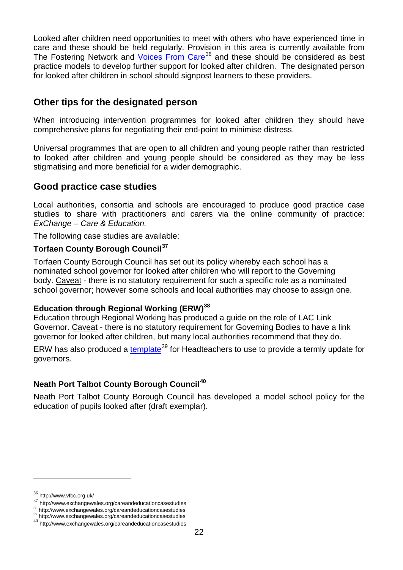Looked after children need opportunities to meet with others who have experienced time in care and these should be held regularly. Provision in this area is currently available from The Fostering Network and [Voices From Care](http://www.vfcc.org.uk/)<sup>[36](#page-23-2)</sup> and these should be considered as best practice models to develop further support for looked after children. The designated person for looked after children in school should signpost learners to these providers.

# <span id="page-23-0"></span>**Other tips for the designated person**

When introducing intervention programmes for looked after children they should have comprehensive plans for negotiating their end-point to minimise distress.

Universal programmes that are open to all children and young people rather than restricted to looked after children and young people should be considered as they may be less stigmatising and more beneficial for a wider demographic.

# <span id="page-23-1"></span>**Good practice case studies**

Local authorities, consortia and schools are encouraged to produce good practice case studies to share with practitioners and carers via the online community of practice: *ExChange – Care & Education.*

The following case studies are available:

#### **[Torfaen County Borough Council](http://www.exchangewales.org/careandeducationcasestudies)[37](#page-23-3)**

[Torfaen County Borough Council](http://www.exchangewales.org/careandeducationcasestudies) has set out its policy whereby each school has a nominated school governor for looked after children who will report to the Governing body. Caveat - there is no statutory requirement for such a specific role as a nominated school governor; however some schools and local authorities may choose to assign one.

#### **[Education through Regional Working \(ERW\)](http://www.exchangewales.org/careandeducationcasestudies)[38](#page-23-4)**

Education through Regional Working has produced a guide on the role of LAC Link Governor. Caveat - there is no statutory requirement for Governing Bodies to have a link governor for looked after children, but many local authorities recommend that they do.

ERW has also produced a [template](http://www.exchangewales.org/careandeducationcasestudies)<sup>[39](#page-23-5)</sup> for Headteachers to use to provide a termly update for governors.

#### **[Neath Port Talbot County Borough Council](http://www.exchangewales.org/careandeducationcasestudies)[40](#page-23-6)**

[Neath Port Talbot County Borough Council](http://www.exchangewales.org/careandeducationcasestudies) has developed a model school policy for the education of pupils looked after (draft exemplar).

<span id="page-23-2"></span><sup>36</sup> http://www.vfcc.org.uk/

<span id="page-23-3"></span> $37$  http://www.exchangewales.org/careandeducationcasestudies<br> $38$  http://www.exchangewales.org/careandeducationcasestudies

<span id="page-23-6"></span><span id="page-23-5"></span><span id="page-23-4"></span><sup>38</sup> http://www.exchangewales.org/careandeducationcasestudies <sup>39</sup> http://www.exchangewales.org/careandeducationcasestudies <sup>40</sup> http://www.exchangewales.org/careandeducationcasestudies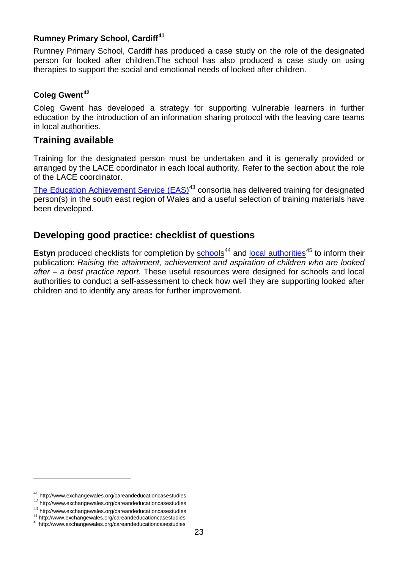#### **[Rumney Primary School,](http://www.exchangewales.org/careandeducationcasestudies) Cardiff[41](#page-24-2)**

[Rumney Primary School, Cardiff](http://www.exchangewales.org/careandeducationcasestudies) has produced a case study on the role of the designated person for looked after children.The school has also produced a case study on using therapies to support the social and emotional needs of looked after children.

#### **[Coleg Gwent](http://www.exchangewales.org/careandeducationcasestudies)[42](#page-24-3)**

[Coleg Gwent](http://www.exchangewales.org/careandeducationcasestudies) has developed a strategy for supporting vulnerable learners in further education by the introduction of an information sharing protocol with the leaving care teams in local authorities.

### <span id="page-24-0"></span>**Training available**

Training for the designated person must be undertaken and it is generally provided or arranged by the LACE coordinator in each local authority. Refer to the section about the role of the LACE coordinator.

[The Education Achievement Service \(EAS\)](http://www.exchangewales.org/careandeducationcasestudies)<sup>[43](#page-24-4)</sup> consortia has delivered training for designated person(s) in the south east region of Wales and a useful selection of training materials have been developed.

# <span id="page-24-1"></span>**Developing good practice: checklist of questions**

**Estyn** produced checklists for completion by [schools](http://www.exchangewales.org/careandeducationcasestudies)<sup>[44](#page-24-5)</sup> and [local authorities](http://www.exchangewales.org/careandeducationcasestudies)<sup>[45](#page-24-6)</sup> to inform their publication: *Raising the attainment, achievement and aspiration of children who are looked after – a best practice report*. These useful resources were designed for schools and local authorities to conduct a self-assessment to check how well they are supporting looked after children and to identify any areas for further improvement.

<span id="page-24-2"></span> $^{41}$ http://www.exchangewales.org/careandeducationcasestudies

<span id="page-24-3"></span><sup>42</sup> http://www.exchangewales.org/careandeducationcasestudies

<span id="page-24-4"></span> $^{43}$ http://www.exchangewales.org/careandeducationcasestudies  $^{44}$ http://www.exchangewales.org/careandeducationcasestudies  $^{45}$ http://www.exchangewales.org/careandeducationcasestudies

<span id="page-24-6"></span><span id="page-24-5"></span>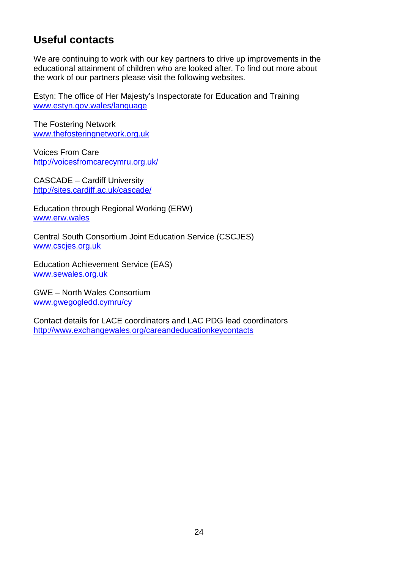# <span id="page-25-0"></span>**Useful contacts**

We are continuing to work with our key partners to drive up improvements in the educational attainment of children who are looked after. To find out more about the work of our partners please visit the following websites.

Estyn: The office of Her Majesty's Inspectorate for Education and Training [www.estyn.gov.wales/language](http://www.estyn.gov.wales/language)

The Fostering Network [www.thefosteringnetwork.org.uk](http://www.thefosteringnetwork.org.uk/)

Voices From Care <http://voicesfromcarecymru.org.uk/>

CASCADE – Cardiff University <http://sites.cardiff.ac.uk/cascade/>

Education through Regional Working (ERW) [www.erw.wales](http://www.erw.wales/)

Central South Consortium Joint Education Service (CSCJES) [www.cscjes.org.uk](http://www.cscjes.org.uk/)

Education Achievement Service (EAS) [www.sewales.org.uk](http://www.sewales.org.uk/)

GWE – North Wales Consortium [www.gwegogledd.cymru/cy](http://www.gwegogledd.cymru/cy)

Contact details for LACE coordinators and LAC PDG lead coordinators <http://www.exchangewales.org/careandeducationkeycontacts>